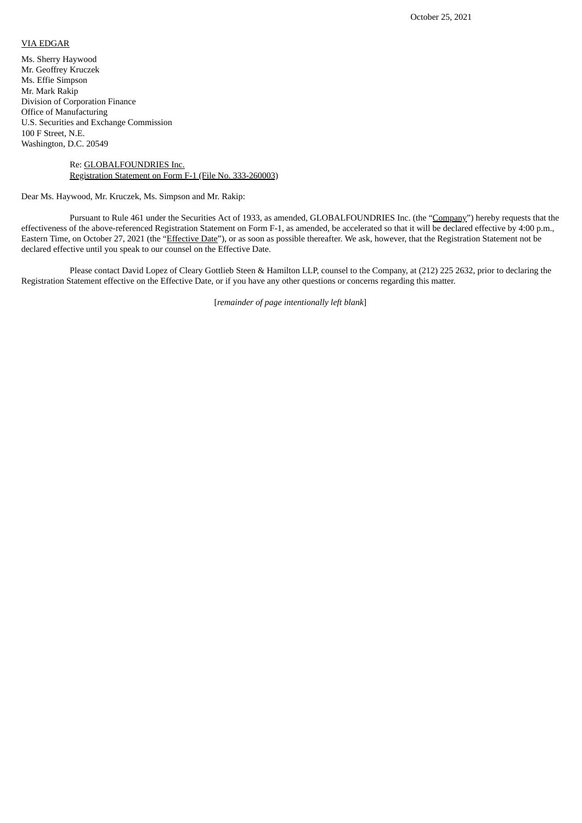## VIA EDGAR

Ms. Sherry Haywood Mr. Geoffrey Kruczek Ms. Effie Simpson Mr. Mark Rakip Division of Corporation Finance Office of Manufacturing U.S. Securities and Exchange Commission 100 F Street, N.E. Washington, D.C. 20549

## Re: GLOBALFOUNDRIES Inc. Registration Statement on Form F-1 (File No. 333-260003)

Dear Ms. Haywood, Mr. Kruczek, Ms. Simpson and Mr. Rakip:

Pursuant to Rule 461 under the Securities Act of 1933, as amended, GLOBALFOUNDRIES Inc. (the "Company") hereby requests that the effectiveness of the above-referenced Registration Statement on Form F-1, as amended, be accelerated so that it will be declared effective by 4:00 p.m., Eastern Time, on October 27, 2021 (the "Effective Date"), or as soon as possible thereafter. We ask, however, that the Registration Statement not be declared effective until you speak to our counsel on the Effective Date.

Please contact David Lopez of Cleary Gottlieb Steen & Hamilton LLP, counsel to the Company, at (212) 225 2632, prior to declaring the Registration Statement effective on the Effective Date, or if you have any other questions or concerns regarding this matter.

[*remainder of page intentionally left blank*]